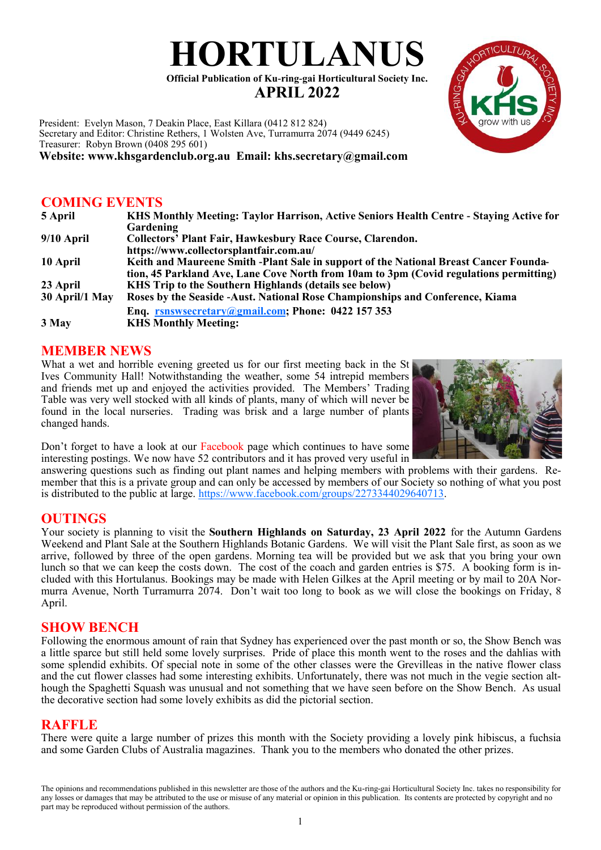# **HORTULANUS**

**Official Publication of Ku-ring-gai Horticultural Society Inc. APRIL 2022**

President: Evelyn Mason, 7 Deakin Place, East Killara (0412 812 824) Secretary and Editor: Christine Rethers, 1 Wolsten Ave, Turramurra 2074 (9449 6245) Treasurer: Robyn Brown (0408 295 601)

**Website: www.khsgardenclub.org.au Email: khs.secretary@gmail.com**

# **COMING EVENTS**

| 5 April        | KHS Monthly Meeting: Taylor Harrison, Active Seniors Health Centre - Staying Active for |
|----------------|-----------------------------------------------------------------------------------------|
|                | Gardening                                                                               |
| $9/10$ April   | <b>Collectors' Plant Fair, Hawkesbury Race Course, Clarendon.</b>                       |
|                | https://www.collectorsplantfair.com.au/                                                 |
| 10 April       | Keith and Maureene Smith -Plant Sale in support of the National Breast Cancer Founda-   |
|                | tion, 45 Parkland Ave, Lane Cove North from 10am to 3pm (Covid regulations permitting)  |
| 23 April       | KHS Trip to the Southern Highlands (details see below)                                  |
| 30 April/1 May | Roses by the Seaside - Aust. National Rose Championships and Conference, Kiama          |
|                | Enq. rsnswsecretary@gmail.com; Phone: 0422 157 353                                      |
| 3 May          | <b>KHS Monthly Meeting:</b>                                                             |

# **MEMBER NEWS**

What a wet and horrible evening greeted us for our first meeting back in the St Ives Community Hall! Notwithstanding the weather, some 54 intrepid members and friends met up and enjoyed the activities provided. The Members' Trading Table was very well stocked with all kinds of plants, many of which will never be found in the local nurseries. Trading was brisk and a large number of plants changed hands.



Don't forget to have a look at our Facebook page which continues to have some interesting postings. We now have 52 contributors and it has proved very useful in

answering questions such as finding out plant names and helping members with problems with their gardens. Remember that this is a private group and can only be accessed by members of our Society so nothing of what you post is distributed to the public at large. [https://www.facebook.com/groups/2273344029640713.](https://www.facebook.com/groups/2273344029640713)

# **OUTINGS**

Your society is planning to visit the **Southern Highlands on Saturday, 23 April 2022** for the Autumn Gardens Weekend and Plant Sale at the Southern Highlands Botanic Gardens. We will visit the Plant Sale first, as soon as we arrive, followed by three of the open gardens. Morning tea will be provided but we ask that you bring your own lunch so that we can keep the costs down. The cost of the coach and garden entries is \$75. A booking form is included with this Hortulanus. Bookings may be made with Helen Gilkes at the April meeting or by mail to 20A Normurra Avenue, North Turramurra 2074. Don't wait too long to book as we will close the bookings on Friday, 8 April.

#### **SHOW BENCH**

Following the enormous amount of rain that Sydney has experienced over the past month or so, the Show Bench was a little sparce but still held some lovely surprises. Pride of place this month went to the roses and the dahlias with some splendid exhibits. Of special note in some of the other classes were the Grevilleas in the native flower class and the cut flower classes had some interesting exhibits. Unfortunately, there was not much in the vegie section although the Spaghetti Squash was unusual and not something that we have seen before on the Show Bench. As usual the decorative section had some lovely exhibits as did the pictorial section.

# **RAFFLE**

There were quite a large number of prizes this month with the Society providing a lovely pink hibiscus, a fuchsia and some Garden Clubs of Australia magazines. Thank you to the members who donated the other prizes.

The opinions and recommendations published in this newsletter are those of the authors and the Ku-ring-gai Horticultural Society Inc. takes no responsibility for any losses or damages that may be attributed to the use or misuse of any material or opinion in this publication. Its contents are protected by copyright and no part may be reproduced without permission of the authors.

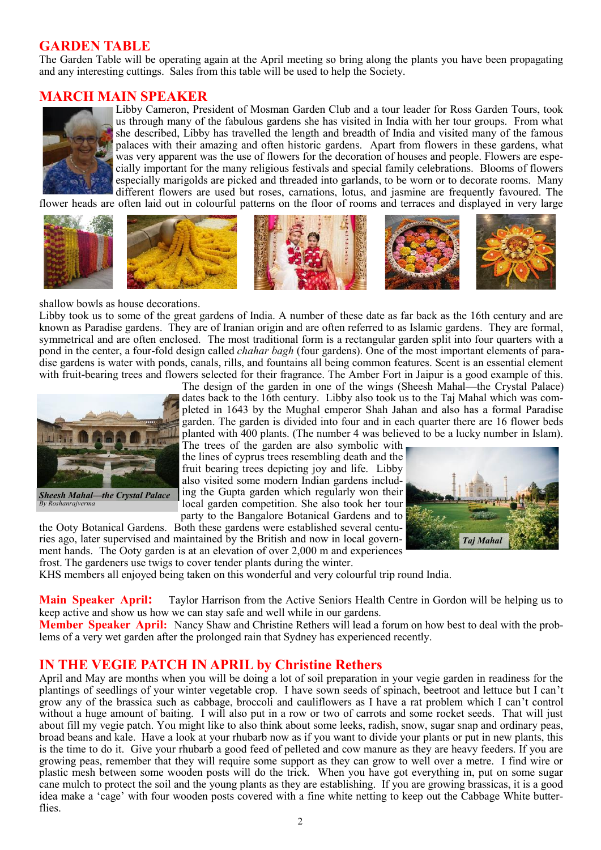# **GARDEN TABLE**

The Garden Table will be operating again at the April meeting so bring along the plants you have been propagating and any interesting cuttings. Sales from this table will be used to help the Society.

# **MARCH MAIN SPEAKER**



Libby Cameron, President of Mosman Garden Club and a tour leader for Ross Garden Tours, took us through many of the fabulous gardens she has visited in India with her tour groups. From what she described, Libby has travelled the length and breadth of India and visited many of the famous palaces with their amazing and often historic gardens. Apart from flowers in these gardens, what was very apparent was the use of flowers for the decoration of houses and people. Flowers are especially important for the many religious festivals and special family celebrations. Blooms of flowers especially marigolds are picked and threaded into garlands, to be worn or to decorate rooms. Many different flowers are used but roses, carnations, lotus, and jasmine are frequently favoured. The

flower heads are often laid out in colourful patterns on the floor of rooms and terraces and displayed in very large









dates back to the 16th century. Libby also took us to the Taj Mahal which was completed in 1643 by the Mughal emperor Shah Jahan and also has a formal Paradise garden. The garden is divided into four and in each quarter there are 16 flower beds planted with 400 plants. (The number 4 was believed to be a lucky number in Islam).



shallow bowls as house decorations.

Libby took us to some of the great gardens of India. A number of these date as far back as the 16th century and are known as Paradise gardens. They are of Iranian origin and are often referred to as Islamic gardens. They are formal, symmetrical and are often enclosed. The most traditional form is a rectangular garden split into four quarters with a pond in the center, a four-fold design called *[chahar bagh](https://en.wikipedia.org/wiki/Charbagh)* (four gardens). One of the most important elements of paradise gardens is water with ponds, canals, rills, and fountains all being common features. Scent is an essential element with fruit-bearing trees and flowers selected for their fragrance. The Amber Fort in Jaipur is a good example of this. The design of the garden in one of the wings (Sheesh Mahal—the Crystal Palace)



fruit bearing trees depicting joy and life. Libby also visited some modern Indian gardens including the Gupta garden which regularly won their local garden competition. She also took her tour

party to the Bangalore Botanical Gardens and to the Ooty Botanical Gardens. Both these gardens were established several centuries ago, later supervised and maintained by the British and now in local government hands. The Ooty garden is at an elevation of over 2,000 m and experiences frost. The gardeners use twigs to cover tender plants during the winter.



KHS members all enjoyed being taken on this wonderful and very colourful trip round India.

**Main Speaker April:** Taylor Harrison from the Active Seniors Health Centre in Gordon will be helping us to keep active and show us how we can stay safe and well while in our gardens.

**Member Speaker April:** Nancy Shaw and Christine Rethers will lead a forum on how best to deal with the problems of a very wet garden after the prolonged rain that Sydney has experienced recently.

# **IN THE VEGIE PATCH IN APRIL by Christine Rethers**

April and May are months when you will be doing a lot of soil preparation in your vegie garden in readiness for the plantings of seedlings of your winter vegetable crop. I have sown seeds of spinach, beetroot and lettuce but I can't grow any of the brassica such as cabbage, broccoli and cauliflowers as I have a rat problem which I can't control without a huge amount of baiting. I will also put in a row or two of carrots and some rocket seeds. That will just about fill my vegie patch. You might like to also think about some leeks, radish, snow, sugar snap and ordinary peas, broad beans and kale. Have a look at your rhubarb now as if you want to divide your plants or put in new plants, this is the time to do it. Give your rhubarb a good feed of pelleted and cow manure as they are heavy feeders. If you are growing peas, remember that they will require some support as they can grow to well over a metre. I find wire or plastic mesh between some wooden posts will do the trick. When you have got everything in, put on some sugar cane mulch to protect the soil and the young plants as they are establishing. If you are growing brassicas, it is a good idea make a 'cage' with four wooden posts covered with a fine white netting to keep out the Cabbage White butterflies.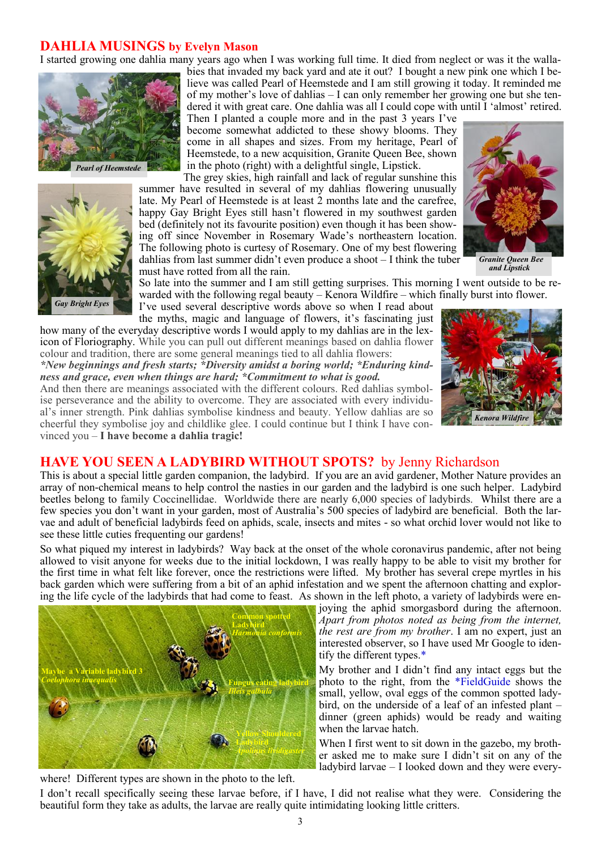#### **DAHLIA MUSINGS by Evelyn Mason**

I started growing one dahlia many years ago when I was working full time. It died from neglect or was it the walla-



*Pearl of Heemstede*



bies that invaded my back yard and ate it out? I bought a new pink one which I believe was called Pearl of Heemstede and I am still growing it today. It reminded me of my mother's love of dahlias – I can only remember her growing one but she tendered it with great care. One dahlia was all I could cope with until I 'almost' retired.

Then I planted a couple more and in the past 3 years I've become somewhat addicted to these showy blooms. They come in all shapes and sizes. From my heritage, Pearl of Heemstede, to a new acquisition, Granite Queen Bee, shown in the photo (right) with a delightful single, Lipstick.

The grey skies, high rainfall and lack of regular sunshine this summer have resulted in several of my dahlias flowering unusually late. My Pearl of Heemstede is at least 2 months late and the carefree, happy Gay Bright Eyes still hasn't flowered in my southwest garden bed (definitely not its favourite position) even though it has been showing off since November in Rosemary Wade's northeastern location. The following photo is curtesy of Rosemary. One of my best flowering dahlias from last summer didn't even produce a shoot – I think the tuber must have rotted from all the rain.



 *and Lipstick*

So late into the summer and I am still getting surprises. This morning I went outside to be rewarded with the following regal beauty – Kenora Wildfire – which finally burst into flower.

I've used several descriptive words above so when I read about the myths, magic and language of flowers, it's fascinating just how many of the everyday descriptive words I would apply to my dahlias are in the lex-

icon of Floriography. While you can pull out different meanings based on dahlia flower colour and tradition, there are some general meanings tied to all dahlia flowers: *\*New beginnings and fresh starts; \*Diversity amidst a boring world; \*Enduring kind-*

*ness and grace, even when things are hard; \*Commitment to what is good.*

And then there are meanings associated with the different colours. Red dahlias symbolise perseverance and the ability to overcome. They are associated with every individual's inner strength. Pink dahlias symbolise kindness and beauty. Yellow dahlias are so cheerful they symbolise joy and childlike glee. I could continue but I think I have convinced you – **I have become a dahlia tragic!**



#### **HAVE YOU SEEN A LADYBIRD WITHOUT SPOTS?** by Jenny Richardson

This is about a special little garden companion, the ladybird. If you are an avid gardener, Mother Nature provides an array of non-chemical means to help control the nasties in our garden and the ladybird is one such helper. Ladybird beetles belong to family Coccinellidae. Worldwide there are nearly 6,000 species of ladybirds. Whilst there are a few species you don't want in your garden, most of Australia's 500 species of ladybird are beneficial. Both the larvae and adult of beneficial ladybirds feed on aphids, scale, insects and mites - so what orchid lover would not like to see these little cuties frequenting our gardens!

So what piqued my interest in ladybirds? Way back at the onset of the whole coronavirus pandemic, after not being allowed to visit anyone for weeks due to the initial lockdown, I was really happy to be able to visit my brother for the first time in what felt like forever, once the restrictions were lifted. My brother has several crepe myrtles in his back garden which were suffering from a bit of an aphid infestation and we spent the afternoon chatting and exploring the life cycle of the ladybirds that had come to feast. As shown in the left photo, a variety of ladybirds were en-



joying the aphid smorgasbord during the afternoon. *Apart from photos noted as being from the internet, the rest are from my brother*. I am no expert, just an interested observer, so I have used Mr Google to identify the different types.\*

My brother and I didn't find any intact eggs but the photo to the right, from the \*FieldGuide shows the small, yellow, oval eggs of the common spotted ladybird, on the underside of a leaf of an infested plant – dinner (green aphids) would be ready and waiting when the larvae hatch.

When I first went to sit down in the gazebo, my brother asked me to make sure I didn't sit on any of the ladybird larvae – I looked down and they were every-

where! Different types are shown in the photo to the left.

I don't recall specifically seeing these larvae before, if I have, I did not realise what they were. Considering the beautiful form they take as adults, the larvae are really quite intimidating looking little critters.